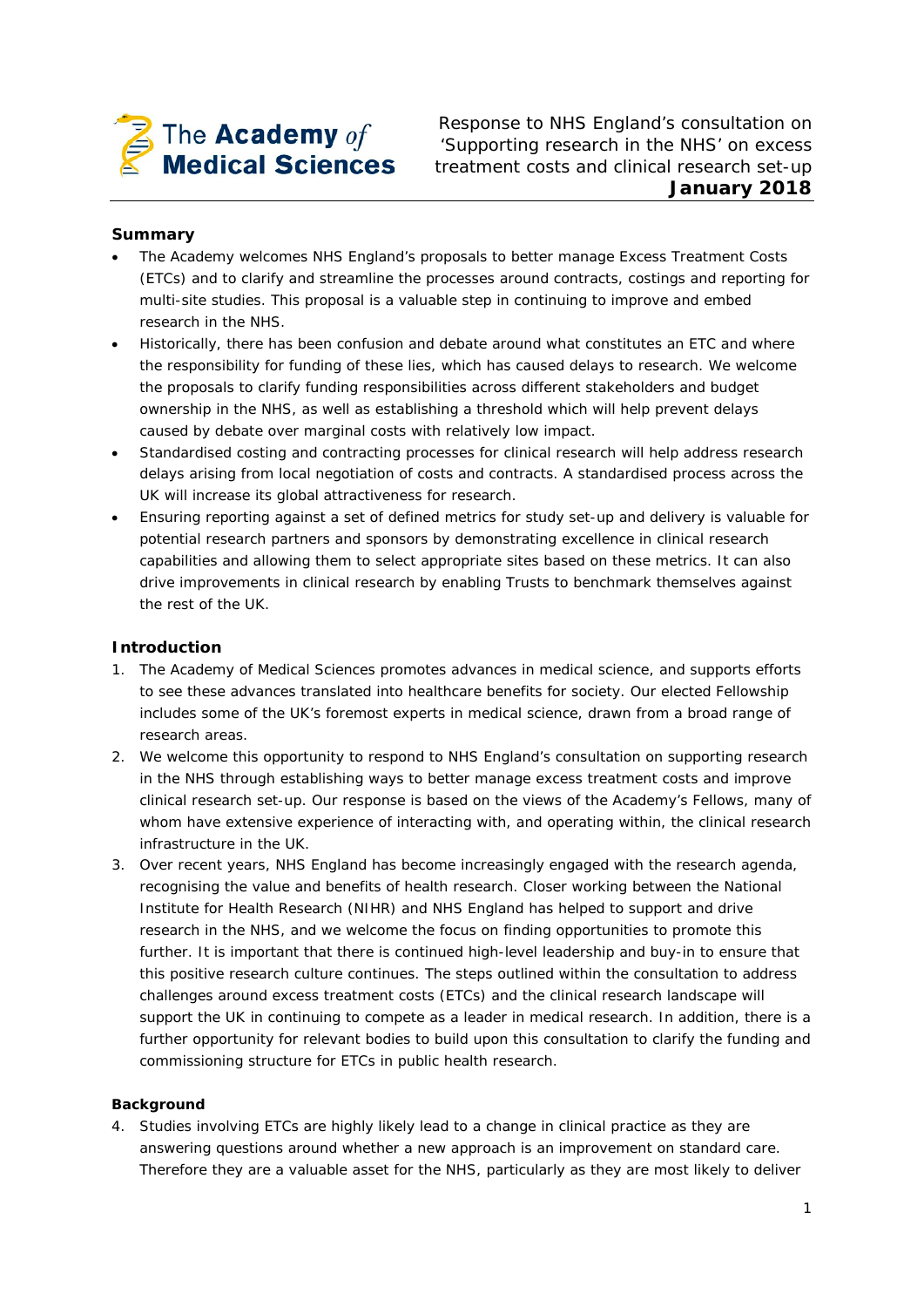

Response to NHS England's consultation on 'Supporting research in the NHS' on excess treatment costs and clinical research set-up **January 2018**

# **Summary**

- The Academy welcomes NHS England's proposals to better manage Excess Treatment Costs (ETCs) and to clarify and streamline the processes around contracts, costings and reporting for multi-site studies. This proposal is a valuable step in continuing to improve and embed research in the NHS.
- Historically, there has been confusion and debate around what constitutes an ETC and where the responsibility for funding of these lies, which has caused delays to research. We welcome the proposals to clarify funding responsibilities across different stakeholders and budget ownership in the NHS, as well as establishing a threshold which will help prevent delays caused by debate over marginal costs with relatively low impact.
- Standardised costing and contracting processes for clinical research will help address research delays arising from local negotiation of costs and contracts. A standardised process across the UK will increase its global attractiveness for research.
- Ensuring reporting against a set of defined metrics for study set-up and delivery is valuable for potential research partners and sponsors by demonstrating excellence in clinical research capabilities and allowing them to select appropriate sites based on these metrics. It can also drive improvements in clinical research by enabling Trusts to benchmark themselves against the rest of the UK.

# **Introduction**

- 1. The Academy of Medical Sciences promotes advances in medical science, and supports efforts to see these advances translated into healthcare benefits for society. Our elected Fellowship includes some of the UK's foremost experts in medical science, drawn from a broad range of research areas.
- 2. We welcome this opportunity to respond to NHS England's consultation on supporting research in the NHS through establishing ways to better manage excess treatment costs and improve clinical research set-up. Our response is based on the views of the Academy's Fellows, many of whom have extensive experience of interacting with, and operating within, the clinical research infrastructure in the UK.
- 3. Over recent years, NHS England has become increasingly engaged with the research agenda, recognising the value and benefits of health research. Closer working between the National Institute for Health Research (NIHR) and NHS England has helped to support and drive research in the NHS, and we welcome the focus on finding opportunities to promote this further. It is important that there is continued high-level leadership and buy-in to ensure that this positive research culture continues. The steps outlined within the consultation to address challenges around excess treatment costs (ETCs) and the clinical research landscape will support the UK in continuing to compete as a leader in medical research. In addition, there is a further opportunity for relevant bodies to build upon this consultation to clarify the funding and commissioning structure for ETCs in public health research.

# **Background**

4. Studies involving ETCs are highly likely lead to a change in clinical practice as they are answering questions around whether a new approach is an improvement on standard care. Therefore they are a valuable asset for the NHS, particularly as they are most likely to deliver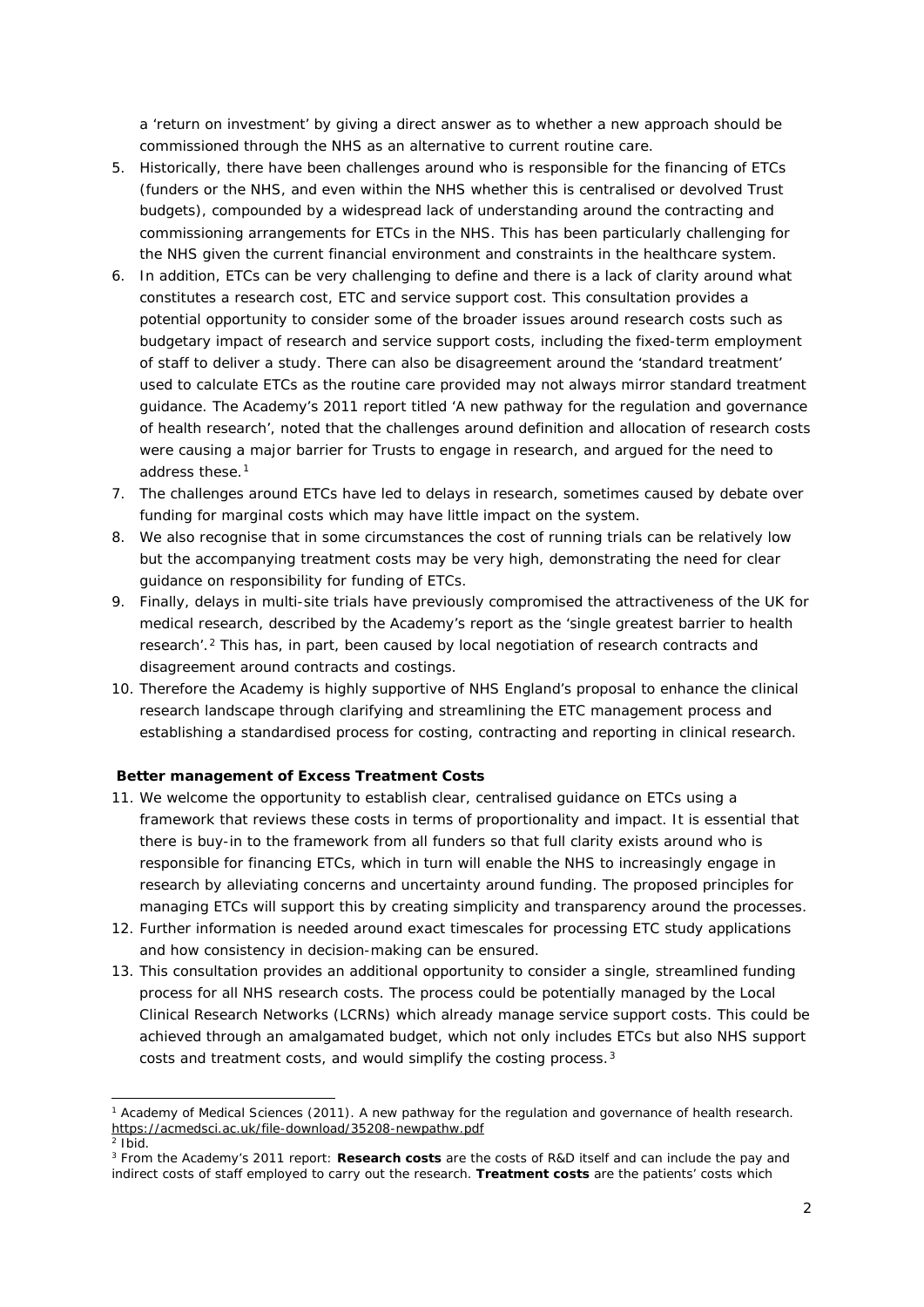a 'return on investment' by giving a direct answer as to whether a new approach should be commissioned through the NHS as an alternative to current routine care.

- 5. Historically, there have been challenges around who is responsible for the financing of ETCs (funders or the NHS, and even within the NHS whether this is centralised or devolved Trust budgets), compounded by a widespread lack of understanding around the contracting and commissioning arrangements for ETCs in the NHS. This has been particularly challenging for the NHS given the current financial environment and constraints in the healthcare system.
- 6. In addition, ETCs can be very challenging to define and there is a lack of clarity around what constitutes a research cost, ETC and service support cost. This consultation provides a potential opportunity to consider some of the broader issues around research costs such as budgetary impact of research and service support costs, including the fixed-term employment of staff to deliver a study. There can also be disagreement around the 'standard treatment' used to calculate ETCs as the routine care provided may not always mirror standard treatment guidance. The Academy's 2011 report titled *'A new pathway for the regulation and governance of health research'*, noted that the challenges around definition and allocation of research costs were causing a major barrier for Trusts to engage in research, and argued for the need to address these.[1](#page-1-0)
- 7. The challenges around ETCs have led to delays in research, sometimes caused by debate over funding for marginal costs which may have little impact on the system.
- 8. We also recognise that in some circumstances the cost of running trials can be relatively low but the accompanying treatment costs may be very high, demonstrating the need for clear guidance on responsibility for funding of ETCs.
- 9. Finally, delays in multi-site trials have previously compromised the attractiveness of the UK for medical research, described by the Academy's report as the *'single greatest barrier to health research'*.[2](#page-1-1) This has, in part, been caused by local negotiation of research contracts and disagreement around contracts and costings.
- 10. Therefore the Academy is highly supportive of NHS England's proposal to enhance the clinical research landscape through clarifying and streamlining the ETC management process and establishing a standardised process for costing, contracting and reporting in clinical research.

### **Better management of Excess Treatment Costs**

- 11. We welcome the opportunity to establish clear, centralised guidance on ETCs using a framework that reviews these costs in terms of proportionality and impact. It is essential that there is buy-in to the framework from all funders so that full clarity exists around who is responsible for financing ETCs, which in turn will enable the NHS to increasingly engage in research by alleviating concerns and uncertainty around funding. The proposed principles for managing ETCs will support this by creating simplicity and transparency around the processes.
- 12. Further information is needed around exact timescales for processing ETC study applications and how consistency in decision-making can be ensured.
- 13. This consultation provides an additional opportunity to consider a single, streamlined funding process for *all* NHS research costs. The process could be potentially managed by the Local Clinical Research Networks (LCRNs) which already manage service support costs. This could be achieved through an amalgamated budget, which not only includes ETCs but also NHS support costs and treatment costs, and would simplify the costing process.[3](#page-1-2)

<span id="page-1-0"></span> <sup>1</sup> Academy of Medical Sciences (2011). *A new pathway for the regulation and governance of health research*. <https://acmedsci.ac.uk/file-download/35208-newpathw.pdf>

<sup>2</sup> *Ibid.*

<span id="page-1-2"></span><span id="page-1-1"></span><sup>3</sup> From the Academy's 2011 report: **Research costs** are the costs of R&D itself and can include the pay and indirect costs of staff employed to carry out the research. **Treatment costs** are the patients' costs which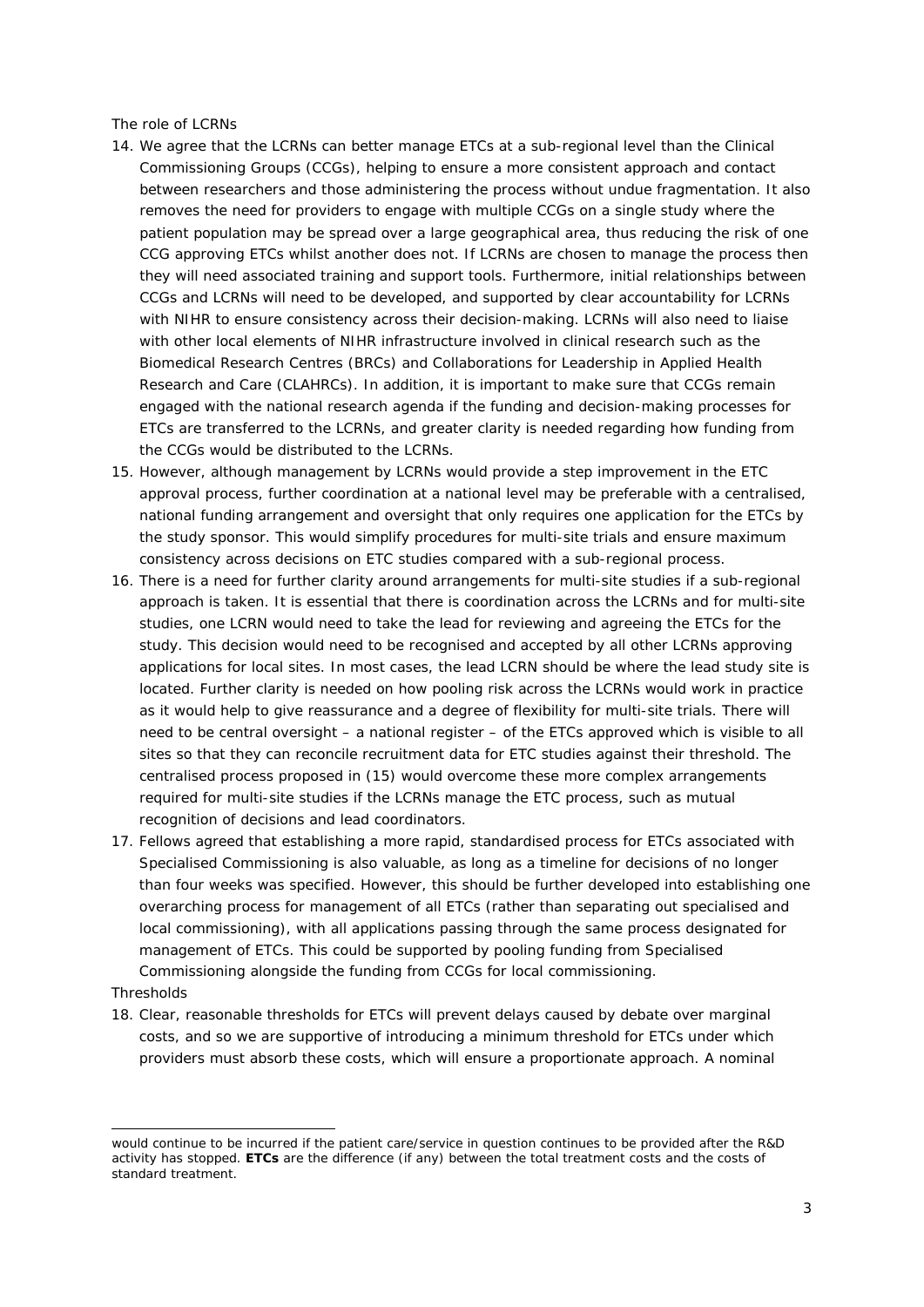### *The role of LCRNs*

- 14. We agree that the LCRNs can better manage ETCs at a sub-regional level than the Clinical Commissioning Groups (CCGs), helping to ensure a more consistent approach and contact between researchers and those administering the process without undue fragmentation. It also removes the need for providers to engage with multiple CCGs on a single study where the patient population may be spread over a large geographical area, thus reducing the risk of one CCG approving ETCs whilst another does not. If LCRNs are chosen to manage the process then they will need associated training and support tools. Furthermore, initial relationships between CCGs and LCRNs will need to be developed, and supported by clear accountability for LCRNs with NIHR to ensure consistency across their decision-making. LCRNs will also need to liaise with other local elements of NIHR infrastructure involved in clinical research such as the Biomedical Research Centres (BRCs) and Collaborations for Leadership in Applied Health Research and Care (CLAHRCs). In addition, it is important to make sure that CCGs remain engaged with the national research agenda if the funding and decision-making processes for ETCs are transferred to the LCRNs, and greater clarity is needed regarding how funding from the CCGs would be distributed to the LCRNs.
- 15. However, although management by LCRNs would provide a step improvement in the ETC approval process, further coordination at a national level may be preferable with a centralised, national funding arrangement and oversight that only requires one application for the ETCs by the study sponsor. This would simplify procedures for multi-site trials and ensure maximum consistency across decisions on ETC studies compared with a sub-regional process.
- 16. There is a need for further clarity around arrangements for multi-site studies if a sub-regional approach is taken. It is essential that there is coordination across the LCRNs and for multi-site studies, one LCRN would need to take the lead for reviewing and agreeing the ETCs for the study. This decision would need to be recognised and accepted by all other LCRNs approving applications for local sites. In most cases, the lead LCRN should be where the lead study site is located. Further clarity is needed on how pooling risk across the LCRNs would work in practice as it would help to give reassurance and a degree of flexibility for multi-site trials. There will need to be central oversight – a national register – of the ETCs approved which is visible to all sites so that they can reconcile recruitment data for ETC studies against their threshold. The centralised process proposed in (15) would overcome these more complex arrangements required for multi-site studies if the LCRNs manage the ETC process, such as mutual recognition of decisions and lead coordinators.
- 17. Fellows agreed that establishing a more rapid, standardised process for ETCs associated with Specialised Commissioning is also valuable, as long as a timeline for decisions of no longer than four weeks was specified. However, this should be further developed into establishing one overarching process for management of all ETCs (rather than separating out specialised and local commissioning), with all applications passing through the same process designated for management of ETCs. This could be supported by pooling funding from Specialised Commissioning alongside the funding from CCGs for local commissioning.

### *Thresholds*

i,

18. Clear, reasonable thresholds for ETCs will prevent delays caused by debate over marginal costs, and so we are supportive of introducing a minimum threshold for ETCs under which providers must absorb these costs, which will ensure a proportionate approach. A nominal

would continue to be incurred if the patient care/service in question continues to be provided after the R&D activity has stopped. **ETCs** are the difference (if any) between the total treatment costs and the costs of standard treatment.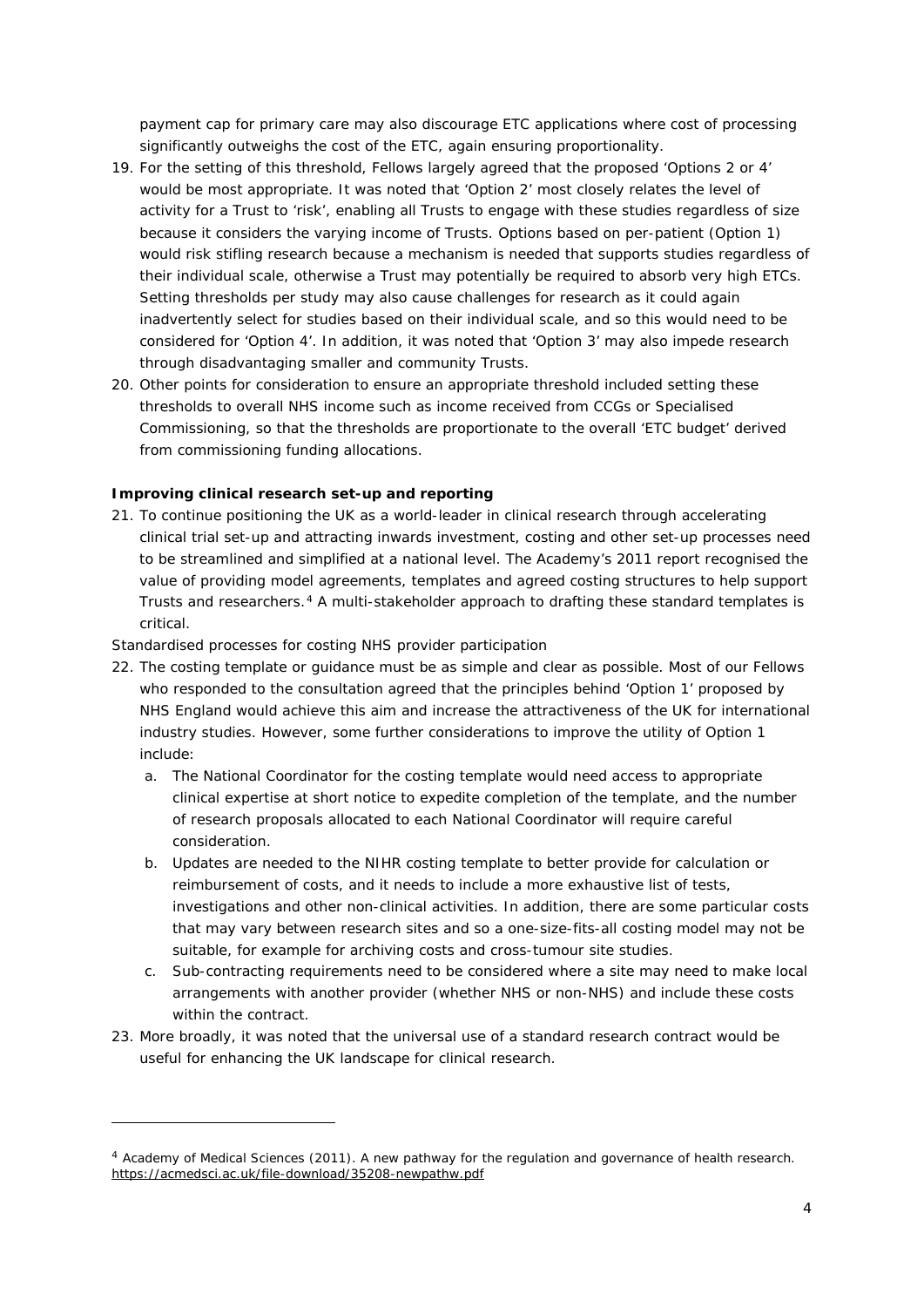payment cap for primary care may also discourage ETC applications where cost of processing significantly outweighs the cost of the ETC, again ensuring proportionality.

- 19. For the setting of this threshold, Fellows largely agreed that the proposed 'Options 2 or 4' would be most appropriate. It was noted that 'Option 2' most closely relates the level of activity for a Trust to 'risk', enabling all Trusts to engage with these studies regardless of size because it considers the varying income of Trusts. Options based on per-patient (Option 1) would risk stifling research because a mechanism is needed that supports studies regardless of their individual scale, otherwise a Trust may potentially be required to absorb very high ETCs. Setting thresholds per study may also cause challenges for research as it could again inadvertently select for studies based on their individual scale, and so this would need to be considered for 'Option 4'. In addition, it was noted that 'Option 3' may also impede research through disadvantaging smaller and community Trusts.
- 20. Other points for consideration to ensure an appropriate threshold included setting these thresholds to overall NHS income such as income received from CCGs or Specialised Commissioning, so that the thresholds are proportionate to the overall 'ETC budget' derived from commissioning funding allocations.

# **Improving clinical research set-up and reporting**

21. To continue positioning the UK as a world-leader in clinical research through accelerating clinical trial set-up and attracting inwards investment, costing and other set-up processes need to be streamlined and simplified at a national level. The Academy's 2011 report recognised the value of providing model agreements, templates and agreed costing structures to help support Trusts and researchers.<sup>[4](#page-3-0)</sup> A multi-stakeholder approach to drafting these standard templates is critical.

# *Standardised processes for costing NHS provider participation*

i,

- 22. The costing template or guidance must be as simple and clear as possible. Most of our Fellows who responded to the consultation agreed that the principles behind 'Option 1' proposed by NHS England would achieve this aim and increase the attractiveness of the UK for international industry studies. However, some further considerations to improve the utility of Option 1 include:
	- a. The National Coordinator for the costing template would need access to appropriate clinical expertise at short notice to expedite completion of the template, and the number of research proposals allocated to each National Coordinator will require careful consideration.
	- b. Updates are needed to the NIHR costing template to better provide for calculation or reimbursement of costs, and it needs to include a more exhaustive list of tests, investigations and other non-clinical activities. In addition, there are some particular costs that may vary between research sites and so a one-size-fits-all costing model may not be suitable, for example for archiving costs and cross-tumour site studies.
	- c. Sub-contracting requirements need to be considered where a site may need to make local arrangements with another provider (whether NHS or non-NHS) and include these costs within the contract.
- 23. More broadly, it was noted that the universal use of a standard research contract would be useful for enhancing the UK landscape for clinical research.

<span id="page-3-0"></span><sup>4</sup> Academy of Medical Sciences (2011). *A new pathway for the regulation and governance of health research*. <https://acmedsci.ac.uk/file-download/35208-newpathw.pdf>